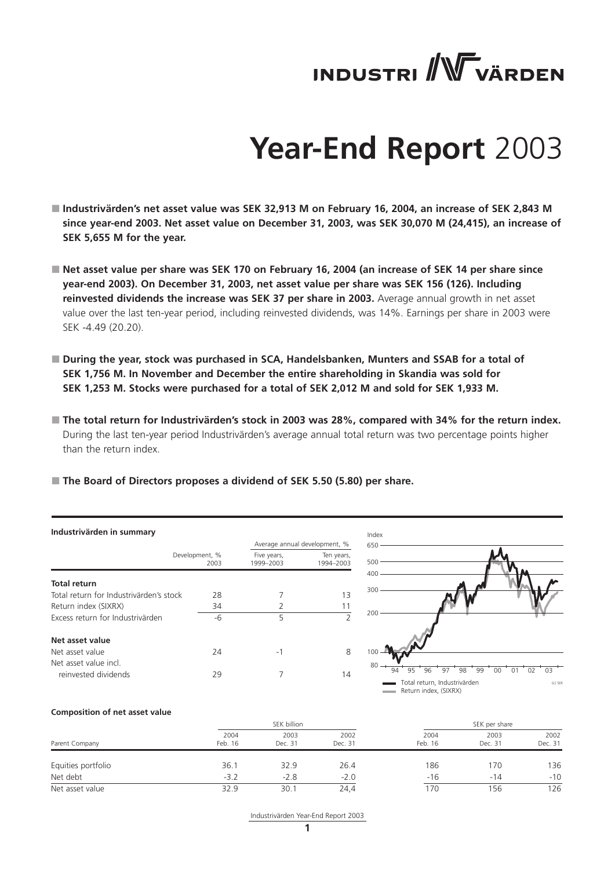# **INDUSTRI** WVÄRDEN

# **Year-End Report** 2003

- Industrivärden's net asset value was SEK 32,913 M on February 16, 2004, an increase of SEK 2,843 M **since year-end 2003. Net asset value on December 31, 2003, was SEK 30,070 M (24,415), an increase of SEK 5,655 M for the year.**
- Net asset value per share was SEK 170 on February 16, 2004 (an increase of SEK 14 per share since **year-end 2003). On December 31, 2003, net asset value per share was SEK 156 (126). Including reinvested dividends the increase was SEK 37 per share in 2003.** Average annual growth in net asset value over the last ten-year period, including reinvested dividends, was 14%. Earnings per share in 2003 were SEK -4.49 (20.20).
- During the year, stock was purchased in SCA, Handelsbanken, Munters and SSAB for a total of **SEK 1,756 M. In November and December the entire shareholding in Skandia was sold for SEK 1,253 M. Stocks were purchased for a total of SEK 2,012 M and sold for SEK 1,933 M.**
- The total return for Industrivärden's stock in 2003 was 28%, compared with 34% for the return index. During the last ten-year period Industrivärden's average annual total return was two percentage points higher than the return index.
- **The Board of Directors proposes a dividend of SEK 5.50 (5.80) per share.**

|                                         |                        |                          | Average annual development, %<br>65        |
|-----------------------------------------|------------------------|--------------------------|--------------------------------------------|
|                                         | Development, %<br>2003 | Five years,<br>1999-2003 | Ten years,<br>50<br>1994-2003              |
| <b>Total return</b>                     |                        |                          | 40<br>30                                   |
| Total return for Industrivärden's stock | 28                     |                          | 13                                         |
| Return index (SIXRX)                    | 34                     | 2                        | 11                                         |
| Excess return for Industrivärden        | -6                     | 5                        | 2 <sup>c</sup><br>$\overline{\phantom{0}}$ |
| Net asset value                         |                        |                          |                                            |
| Net asset value                         | 24                     | -1                       | 8<br>1 <sup>C</sup>                        |
| Net asset value incl.                   |                        |                          |                                            |
| reinvested dividends                    | 29                     |                          | 14                                         |



#### **Composition of net asset value**

| Parent Company     |                 | SEK billion     |                 |                 | SEK per share   |                 |  |  |
|--------------------|-----------------|-----------------|-----------------|-----------------|-----------------|-----------------|--|--|
|                    | 2004<br>Feb. 16 | 2003<br>Dec. 31 | 2002<br>Dec. 31 | 2004<br>Feb. 16 | 2003<br>Dec. 31 | 2002<br>Dec. 31 |  |  |
| Equities portfolio | 36.1            | 32.9            | 26.4            | 186             | 170             | 136             |  |  |
| Net debt           | $-3.2$          | $-2.8$          | $-2.0$          | $-16$           | $-14$           | $-10$           |  |  |
| Net asset value    | 32.9            | 30.7            | 24,4            | 170             | 156             | 126             |  |  |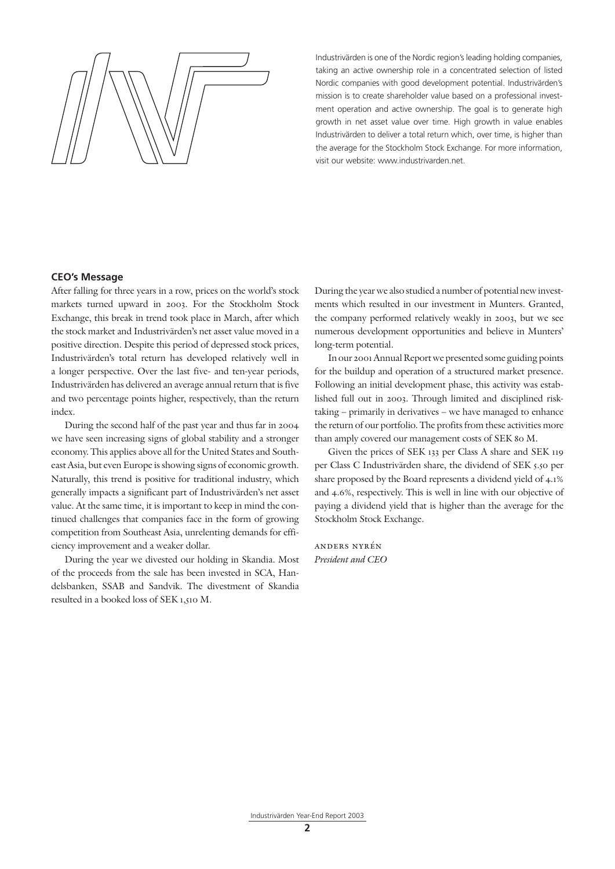

Industrivärden is one of the Nordic region's leading holding companies, taking an active ownership role in a concentrated selection of listed Nordic companies with good development potential. Industrivärden's mission is to create shareholder value based on a professional investment operation and active ownership. The goal is to generate high growth in net asset value over time. High growth in value enables Industrivärden to deliver a total return which, over time, is higher than the average for the Stockholm Stock Exchange. For more information, visit our website: www.industrivarden.net.

## **CEO's Message**

After falling for three years in a row, prices on the world's stock markets turned upward in 2003. For the Stockholm Stock Exchange, this break in trend took place in March, after which the stock market and Industrivärden's net asset value moved in a positive direction. Despite this period of depressed stock prices, Industrivärden's total return has developed relatively well in a longer perspective. Over the last five- and ten-year periods, Industrivärden has delivered an average annual return that is five and two percentage points higher, respectively, than the return index.

During the second half of the past year and thus far in 2004 we have seen increasing signs of global stability and a stronger economy. This applies above all for the United States and Southeast Asia, but even Europe is showing signs of economic growth. Naturally, this trend is positive for traditional industry, which generally impacts a significant part of Industrivärden's net asset value. At the same time, it is important to keep in mind the continued challenges that companies face in the form of growing competition from Southeast Asia, unrelenting demands for efficiency improvement and a weaker dollar.

During the year we divested our holding in Skandia. Most of the proceeds from the sale has been invested in SCA, Handelsbanken, SSAB and Sandvik. The divestment of Skandia resulted in a booked loss of SEK 1,510 M.

During the year we also studied a number of potential new investments which resulted in our investment in Munters. Granted, the company performed relatively weakly in 2003, but we see numerous development opportunities and believe in Munters' long-term potential.

In our 2001 Annual Report we presented some guiding points for the buildup and operation of a structured market presence. Following an initial development phase, this activity was established full out in 2003. Through limited and disciplined risktaking – primarily in derivatives – we have managed to enhance the return of our portfolio. The profits from these activities more than amply covered our management costs of SEK 80 M.

Given the prices of SEK 133 per Class A share and SEK 119 per Class C Industrivärden share, the dividend of SEK 5.50 per share proposed by the Board represents a dividend yield of 4.1% and 4.6%, respectively. This is well in line with our objective of paying a dividend yield that is higher than the average for the Stockholm Stock Exchange.

anders nyrén *President and CEO*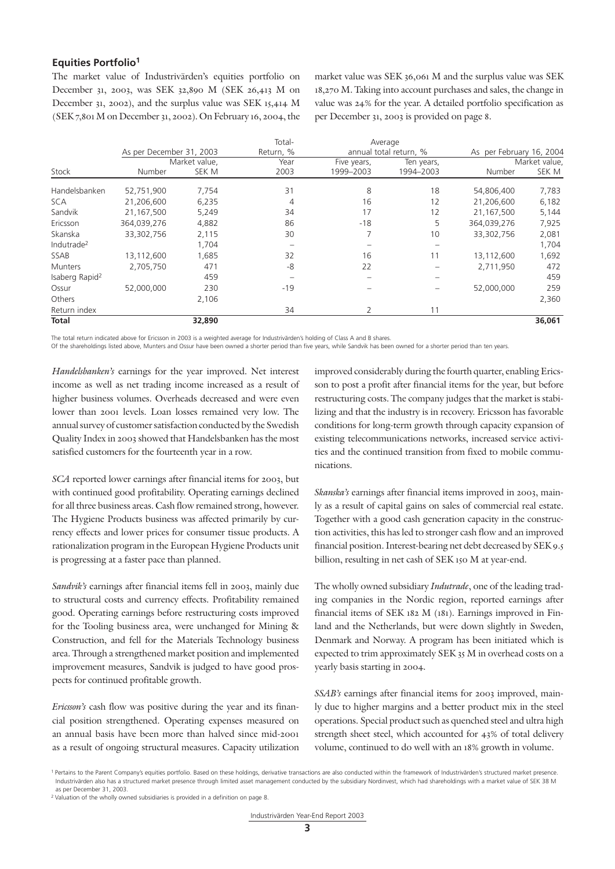# **Equities Portfolio1**

The market value of Industrivärden's equities portfolio on December 31, 2003, was SEK 32,890 M (SEK 26,413 M on December 31, 2002), and the surplus value was SEK 15,414 M (SEK 7,801 M on December 31, 2002). On February 16, 2004, the market value was SEK 36,061 M and the surplus value was SEK 18,270 M. Taking into account purchases and sales, the change in value was 24% for the year. A detailed portfolio specification as per December 31, 2003 is provided on page 8.

|                            |                          |               | Total-    |             | Average                |                          |               |
|----------------------------|--------------------------|---------------|-----------|-------------|------------------------|--------------------------|---------------|
|                            | As per December 31, 2003 |               | Return, % |             | annual total return, % | As per February 16, 2004 |               |
|                            |                          | Market value, | Year      | Five years, | Ten years,             |                          | Market value, |
| Stock                      | Number                   | SEK M         | 2003      | 1999-2003   | 1994-2003              | Number                   | SEK M         |
| Handelsbanken              | 52,751,900               | 7,754         | 31        | 8           | 18                     | 54,806,400               | 7,783         |
| <b>SCA</b>                 | 21,206,600               | 6,235         | 4         | 16          | 12                     | 21,206,600               | 6,182         |
| Sandvik                    | 21,167,500               | 5,249         | 34        | 17          | 12                     | 21,167,500               | 5,144         |
| Ericsson                   | 364,039,276              | 4,882         | 86        | $-18$       | 5                      | 364,039,276              | 7,925         |
| Skanska                    | 33,302,756               | 2,115         | 30        | 7           | 10                     | 33,302,756               | 2,081         |
| Indutrade <sup>2</sup>     |                          | 1,704         |           |             |                        |                          | 1,704         |
| SSAB                       | 13,112,600               | 1,685         | 32        | 16          | 11                     | 13,112,600               | 1,692         |
| Munters                    | 2,705,750                | 471           | -8        | 22          |                        | 2,711,950                | 472           |
| Isaberg Rapid <sup>2</sup> |                          | 459           |           |             |                        |                          | 459           |
| Ossur                      | 52,000,000               | 230           | $-19$     |             |                        | 52.000.000               | 259           |
| Others                     |                          | 2.106         |           |             |                        |                          | 2,360         |
| Return index               |                          |               | 34        | 2           | 11                     |                          |               |
| <b>Total</b>               |                          | 32,890        |           |             |                        |                          | 36,061        |

The total return indicated above for Ericsson in 2003 is a weighted average for Industrivärden's holding of Class A and B shares.

Of the shareholdings listed above, Munters and Ossur have been owned a shorter period than five years, while Sandvik has been owned for a shorter period than ten years.

*Handelsbanken's* earnings for the year improved. Net interest income as well as net trading income increased as a result of higher business volumes. Overheads decreased and were even lower than 2001 levels. Loan losses remained very low. The annual survey of customer satisfaction conducted by the Swedish Quality Index in 2003 showed that Handelsbanken has the most satisfied customers for the fourteenth year in a row.

*SCA* reported lower earnings after financial items for 2003, but with continued good profitability. Operating earnings declined for all three business areas. Cash flow remained strong, however. The Hygiene Products business was affected primarily by currency effects and lower prices for consumer tissue products. A rationalization program in the European Hygiene Products unit is progressing at a faster pace than planned.

*Sandvik's* earnings after financial items fell in 2003, mainly due to structural costs and currency effects. Profitability remained good. Operating earnings before restructuring costs improved for the Tooling business area, were unchanged for Mining & Construction, and fell for the Materials Technology business area. Through a strengthened market position and implemented improvement measures, Sandvik is judged to have good prospects for continued profitable growth.

*Ericsson's* cash flow was positive during the year and its financial position strengthened. Operating expenses measured on an annual basis have been more than halved since mid-2001 as a result of ongoing structural measures. Capacity utilization improved considerably during the fourth quarter, enabling Ericsson to post a profit after financial items for the year, but before restructuring costs. The company judges that the market is stabilizing and that the industry is in recovery. Ericsson has favorable conditions for long-term growth through capacity expansion of existing telecommunications networks, increased service activities and the continued transition from fixed to mobile communications.

*Skanska's* earnings after financial items improved in 2003, mainly as a result of capital gains on sales of commercial real estate. Together with a good cash generation capacity in the construction activities, this has led to stronger cash flow and an improved financial position. Interest-bearing net debt decreased by SEK 9.5 billion, resulting in net cash of SEK 150 M at year-end.

The wholly owned subsidiary *Indutrade*, one of the leading trading companies in the Nordic region, reported earnings after financial items of SEK 182 M (181). Earnings improved in Finland and the Netherlands, but were down slightly in Sweden, Denmark and Norway. A program has been initiated which is expected to trim approximately SEK 35 M in overhead costs on a yearly basis starting in 2004.

*SSAB's* earnings after financial items for 2003 improved, mainly due to higher margins and a better product mix in the steel operations. Special product such as quenched steel and ultra high strength sheet steel, which accounted for 43% of total delivery volume, continued to do well with an 18% growth in volume.

<sup>&</sup>lt;sup>1</sup> Pertains to the Parent Company's equities portfolio. Based on these holdings, derivative transactions are also conducted within the framework of Industrivärden's structured market presence Industrivärden also has a structured market presence through limited asset management conducted by the subsidiary Nordinvest, which had shareholdings with a market value of SEK 38 M as per December 31, 2003.

<sup>&</sup>lt;sup>2</sup> Valuation of the wholly owned subsidiaries is provided in a definition on page 8.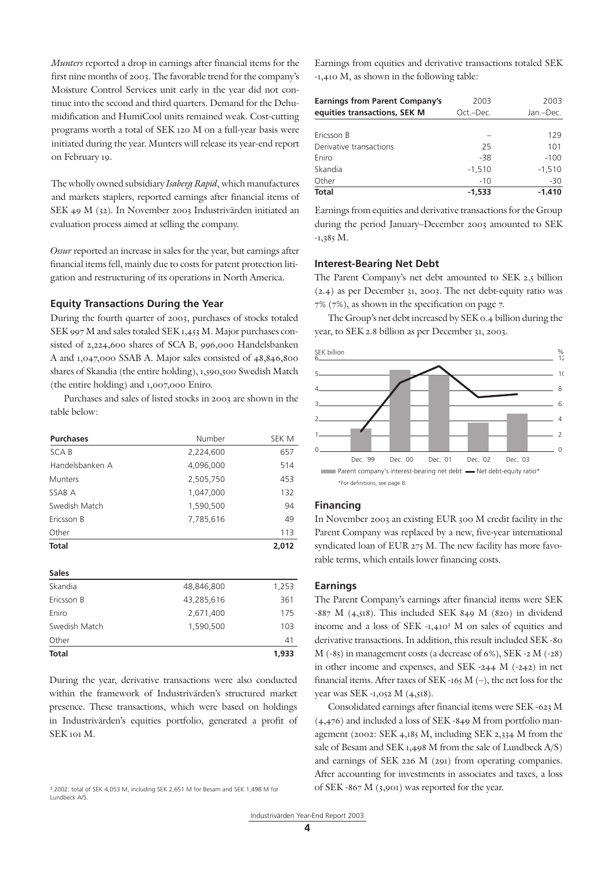*Munters* reported a drop in earnings after financial items for the first nine months of 2003. The favorable trend for the company's Moisture Control Services unit early in the year did not continue into the second and third quarters. Demand for the Dehumidification and HumiCool units remained weak. Cost-cutting programs worth a total of SEK 120 M on a full-year basis were initiated during the year. Munters will release its year-end report on February 19.

The wholly owned subsidiary *Isaberg Rapid*, which manufactures and markets staplers, reported earnings after financial items of SEK 49 M (32). In November 2003 Industrivärden initiated an evaluation process aimed at selling the company.

*Ossur* reported an increase in sales for the year, but earnings after financial items fell, mainly due to costs for patent protection litigation and restructuring of its operations in North America.

## **Equity Transactions During the Year**

During the fourth quarter of 2003, purchases of stocks totaled SEK 997 M and sales totaled SEK 1,453 M. Major purchases consisted of 2,224,600 shares of SCA B, 996,000 Handelsbanken A and 1,047,000 SSAB A. Major sales consisted of 48,846,800 shares of Skandia (the entire holding), 1,590,500 Swedish Match (the entire holding) and 1,007,000 Eniro.

Purchases and sales of listed stocks in 2003 are shown in the table below:

| <b>Purchases</b> | Number     | SEK M |
|------------------|------------|-------|
| SCA B            | 2,224,600  | 657   |
| Handelsbanken A  | 4,096,000  | 514   |
| <b>Munters</b>   | 2,505,750  | 453   |
| SSAB A           | 1,047,000  | 132   |
| Swedish Match    | 1,590,500  | 94    |
| Ericsson B       | 7,785,616  | 49    |
| Other            |            | 113   |
| Total            |            | 2,012 |
|                  |            |       |
| <b>Sales</b>     |            |       |
| Skandia          | 48,846,800 | 1,253 |
| Ericsson B       | 43,285,616 | 361   |
| Eniro            | 2,671,400  | 175   |
| Swedish Match    | 1,590,500  | 103   |
| Other            |            | 41    |

During the year, derivative transactions were also conducted within the framework of Industrivärden's structured market presence. These transactions, which were based on holdings in Industrivärden's equities portfolio, generated a profit of SEK 101 M.

**Total 1,933**

Earnings from equities and derivative transactions totaled SEK -1,410 M, as shown in the following table:

| <b>Earnings from Parent Company's</b> | 2003      | 2003      |
|---------------------------------------|-----------|-----------|
| equities transactions, SEK M          | Oct.-Dec. | Jan.-Dec. |
|                                       |           |           |
| Ericsson B                            |           | 129       |
| Derivative transactions               | 25        | 101       |
| Eniro                                 | $-38$     | $-100$    |
| Skandia                               | $-1,510$  | $-1,510$  |
| Other                                 | $-10$     | $-30$     |
| <b>Total</b>                          | $-1.533$  | $-1.410$  |

Earnings from equities and derivative transactions for the Group during the period January–December 2003 amounted to SEK  $-1,385$  M.

## **Interest-Bearing Net Debt**

The Parent Company's net debt amounted to SEK 2.5 billion (2.4) as per December 31, 2003. The net debt-equity ratio was 7% (7%), as shown in the specification on page 7.

The Group's net debt increased by SEK 0.4 billion during the year, to SEK 2.8 billion as per December 31, 2003.



## **Financing**

In November 2003 an existing EUR 300 M credit facility in the Parent Company was replaced by a new, five-year international syndicated loan of EUR 275 M. The new facility has more favorable terms, which entails lower financing costs.

### **Earnings**

The Parent Company's earnings after financial items were SEK -887 M (4,518). This included SEK 849 M (820) in dividend income and a loss of SEK -1,4103 M on sales of equities and derivative transactions. In addition, this result included SEK -80 M (-85) in management costs (a decrease of 6%), SEK -2 M (-28) in other income and expenses, and SEK -244 M (-242) in net financial items. After taxes of SEK -165 M  $(-)$ , the net loss for the year was SEK -1,052 M (4,518).

Consolidated earnings after financial items were SEK -623 M (4,476) and included a loss of SEK -849 M from portfolio management (2002: SEK 4,185 M, including SEK 2,334 M from the sale of Besam and SEK 1,498 M from the sale of Lundbeck A/S) and earnings of SEK 226 M (291) from operating companies. After accounting for investments in associates and taxes, a loss of SEK -867 M (3,901) was reported for the year.

<sup>3</sup> 2002: total of SEK 4,053 M, including SEK 2,651 M for Besam and SEK 1,498 M for Lundbeck A/S.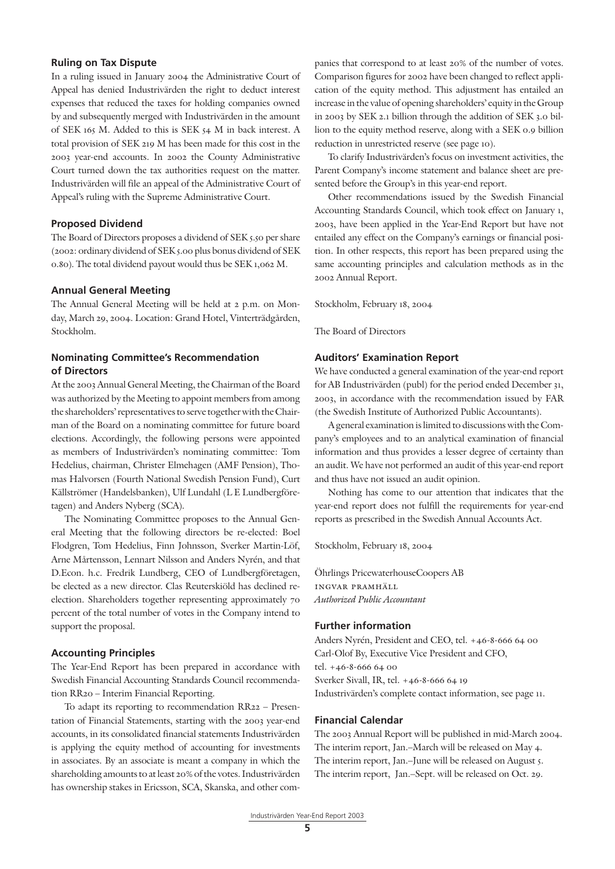## **Ruling on Tax Dispute**

In a ruling issued in January 2004 the Administrative Court of Appeal has denied Industrivärden the right to deduct interest expenses that reduced the taxes for holding companies owned by and subsequently merged with Industrivärden in the amount of SEK 165 M. Added to this is SEK 54 M in back interest. A total provision of SEK 219 M has been made for this cost in the 2003 year-end accounts. In 2002 the County Administrative Court turned down the tax authorities request on the matter. Industrivärden will file an appeal of the Administrative Court of Appeal's ruling with the Supreme Administrative Court.

## **Proposed Dividend**

The Board of Directors proposes a dividend of SEK 5.50 per share (2002: ordinary dividend of SEK 5.00 plus bonus dividend of SEK 0.80). The total dividend payout would thus be SEK 1,062 M.

## **Annual General Meeting**

The Annual General Meeting will be held at 2 p.m. on Monday, March 29, 2004. Location: Grand Hotel, Vinterträdgården, Stockholm.

# **Nominating Committee's Recommendation of Directors**

At the 2003 Annual General Meeting, the Chairman of the Board was authorized by the Meeting to appoint members from among the shareholders' representatives to serve together with the Chairman of the Board on a nominating committee for future board elections. Accordingly, the following persons were appointed as members of Industrivärden's nominating committee: Tom Hedelius, chairman, Christer Elmehagen (AMF Pension), Thomas Halvorsen (Fourth National Swedish Pension Fund), Curt Källströmer (Handelsbanken), Ulf Lundahl (L E Lundbergföretagen) and Anders Nyberg (SCA).

The Nominating Committee proposes to the Annual General Meeting that the following directors be re-elected: Boel Flodgren, Tom Hedelius, Finn Johnsson, Sverker Martin-Löf, Arne Mårtensson, Lennart Nilsson and Anders Nyrén, and that D.Econ. h.c. Fredrik Lundberg, CEO of Lundbergföretagen, be elected as a new director. Clas Reuterskiöld has declined reelection. Shareholders together representing approximately 70 percent of the total number of votes in the Company intend to support the proposal.

## **Accounting Principles**

The Year-End Report has been prepared in accordance with Swedish Financial Accounting Standards Council recommendation RR20 – Interim Financial Reporting.

To adapt its reporting to recommendation RR22 – Presentation of Financial Statements, starting with the 2003 year-end accounts, in its consolidated financial statements Industrivärden is applying the equity method of accounting for investments in associates. By an associate is meant a company in which the shareholding amounts to at least 20% of the votes. Industrivärden has ownership stakes in Ericsson, SCA, Skanska, and other com-

panies that correspond to at least 20% of the number of votes. Comparison figures for 2002 have been changed to reflect application of the equity method. This adjustment has entailed an increase in the value of opening shareholders' equity in the Group in 2003 by SEK 2.1 billion through the addition of SEK 3.0 billion to the equity method reserve, along with a SEK 0.9 billion reduction in unrestricted reserve (see page 10).

To clarify Industrivärden's focus on investment activities, the Parent Company's income statement and balance sheet are presented before the Group's in this year-end report.

Other recommendations issued by the Swedish Financial Accounting Standards Council, which took effect on January 1, 2003, have been applied in the Year-End Report but have not entailed any effect on the Company's earnings or financial position. In other respects, this report has been prepared using the same accounting principles and calculation methods as in the 2002 Annual Report.

Stockholm, February 18, 2004

The Board of Directors

## **Auditors' Examination Report**

We have conducted a general examination of the year-end report for AB Industrivärden (publ) for the period ended December 31, 2003, in accordance with the recommendation issued by FAR (the Swedish Institute of Authorized Public Accountants).

A general examination is limited to discussions with the Company's employees and to an analytical examination of financial information and thus provides a lesser degree of certainty than an audit. We have not performed an audit of this year-end report and thus have not issued an audit opinion.

Nothing has come to our attention that indicates that the year-end report does not fulfill the requirements for year-end reports as prescribed in the Swedish Annual Accounts Act.

Stockholm, February 18, 2004

Öhrlings PricewaterhouseCoopers AB ingvar pramhäll *Authorized Public Accountant*

## **Further information**

Anders Nyrén, President and CEO, tel. +46-8-666 64 00 Carl-Olof By, Executive Vice President and CFO, tel. +46-8-666 64 00 Sverker Sivall, IR, tel. +46-8-666 64 19 Industrivärden's complete contact information, see page 11.

#### **Financial Calendar**

The 2003 Annual Report will be published in mid-March 2004. The interim report, Jan.–March will be released on May 4. The interim report, Jan.–June will be released on August 5. The interim report, Jan.–Sept. will be released on Oct. 29.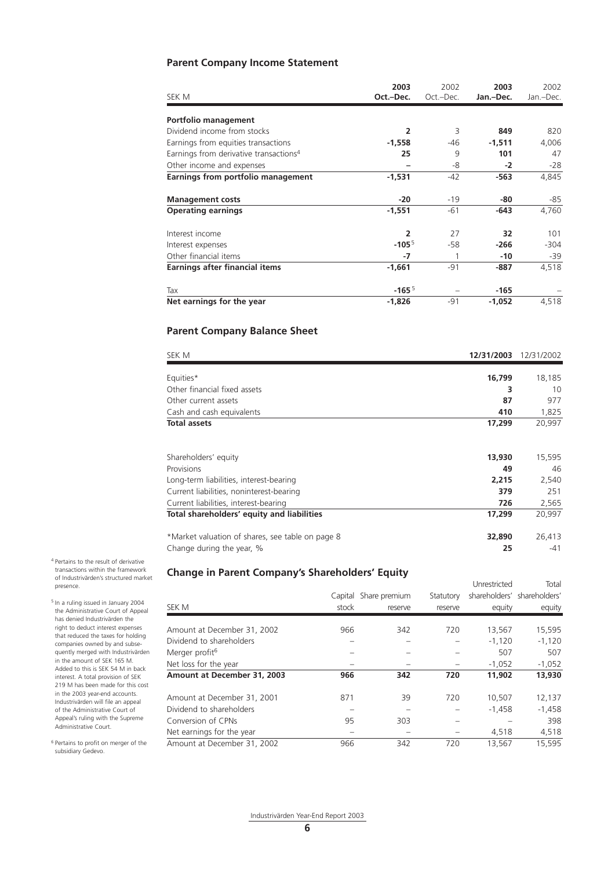# **Parent Company Income Statement**

| SEK M                                              | 2003<br>Oct.-Dec. | 2002<br>Oct.-Dec. | 2003<br>Jan.-Dec. | 2002<br>Jan.-Dec. |
|----------------------------------------------------|-------------------|-------------------|-------------------|-------------------|
| Portfolio management                               |                   |                   |                   |                   |
| Dividend income from stocks                        | 2                 | 3                 | 849               | 820               |
| Earnings from equities transactions                | $-1,558$          | -46               | $-1,511$          | 4,006             |
| Earnings from derivative transactions <sup>4</sup> | 25                | 9                 | 101               | 47                |
| Other income and expenses                          |                   | -8                | $-2$              | $-28$             |
| Earnings from portfolio management                 | $-1,531$          | $-42$             | $-563$            | 4,845             |
| <b>Management costs</b>                            | $-20$             | $-19$             | -80               | -85               |
| <b>Operating earnings</b>                          | $-1,551$          | $-61$             | -643              | 4,760             |
| Interest income                                    | $\overline{2}$    | 27                | 32                | 101               |
| Interest expenses                                  | $-1055$           | $-58$             | $-266$            | -304              |
| Other financial items                              | $-7$              |                   | $-10$             | -39               |
| <b>Earnings after financial items</b>              | $-1,661$          | $-91$             | -887              | 4,518             |
| Tax                                                | $-1655$           |                   | $-165$            |                   |
| Net earnings for the year                          | $-1,826$          | -91               | $-1,052$          | 4,518             |

# **Parent Company Balance Sheet**

| SEK M                                            | 12/31/2003 | 12/31/2002 |
|--------------------------------------------------|------------|------------|
| Equities*                                        | 16,799     | 18,185     |
| Other financial fixed assets                     | 3          | 10         |
| Other current assets                             | 87         | 977        |
| Cash and cash equivalents                        | 410        | 1,825      |
| <b>Total assets</b>                              | 17,299     | 20,997     |
| Shareholders' equity                             | 13,930     | 15,595     |
| Provisions                                       | 49         | 46         |
| Long-term liabilities, interest-bearing          | 2,215      | 2,540      |
| Current liabilities, noninterest-bearing         | 379        | 251        |
| Current liabilities, interest-bearing            | 726        | 2,565      |
| Total shareholders' equity and liabilities       | 17,299     | 20,997     |
| *Market valuation of shares, see table on page 8 | 32,890     | 26,413     |
| Change during the year, %                        | 25         | $-41$      |

# **Change in Parent Company's Shareholders' Equity**

|                             |         |               |           | Unrestricted | Total                       |
|-----------------------------|---------|---------------|-----------|--------------|-----------------------------|
|                             | Capital | Share premium | Statutory |              | shareholders' shareholders' |
| SEK M                       | stock   | reserve       | reserve   | equity       | equity                      |
|                             |         |               |           |              |                             |
| Amount at December 31, 2002 | 966     | 342           | 720       | 13,567       | 15,595                      |
| Dividend to shareholders    |         |               |           | $-1.120$     | $-1.120$                    |
| Merger profit <sup>6</sup>  |         |               |           | 507          | 507                         |
| Net loss for the year       |         |               |           | $-1,052$     | $-1,052$                    |
| Amount at December 31, 2003 | 966     | 342           | 720       | 11,902       | 13,930                      |
| Amount at December 31, 2001 | 871     | 39            | 720       | 10,507       | 12,137                      |
| Dividend to shareholders    |         |               |           | $-1,458$     | $-1,458$                    |
| Conversion of CPNs          | 95      | 303           |           |              | 398                         |
| Net earnings for the year   |         |               |           | 4.518        | 4,518                       |
| Amount at December 31, 2002 | 966     | 342           | 720       | 13.567       | 15,595                      |

4 Pertains to the result of derivative transactions within the framework of Industrivärden's structured market presence.

5 In a ruling issued in January 2004 the Administrative Court of Appeal has denied Industrivärden the right to deduct interest expenses that reduced the taxes for holding companies owned by and subsequently merged with Industrivärden in the amount of SEK 165 M. Added to this is SEK 54 M in back interest. A total provision of SEK 219 M has been made for this cost in the 2003 year-end accounts. Industrivärden will file an appeal of the Administrative Court of Appeal's ruling with the Supreme Administrative Court.

6 Pertains to profit on merger of the subsidiary Gedevo.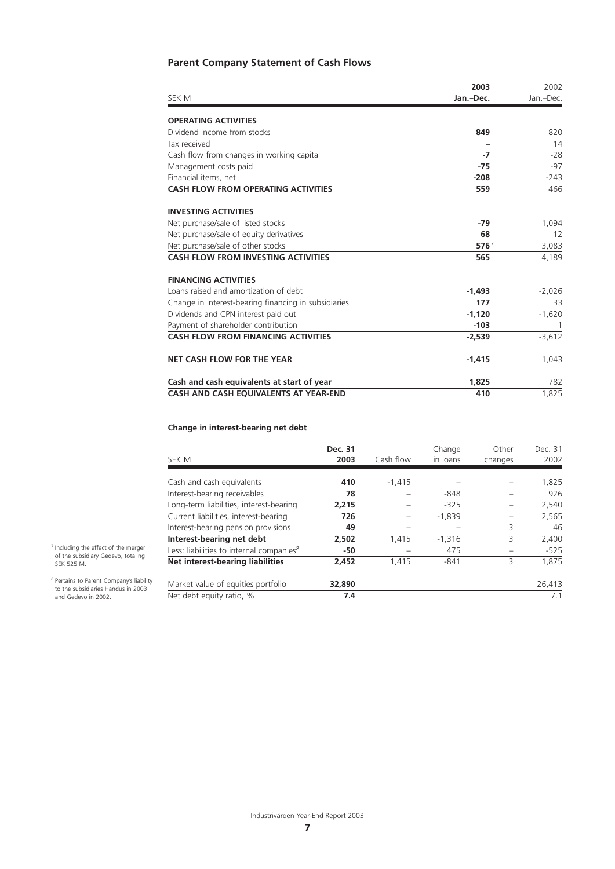# **Parent Company Statement of Cash Flows**

|                                                      | 2003             | 2002      |
|------------------------------------------------------|------------------|-----------|
| SEK M                                                | Jan.-Dec.        | Jan.-Dec. |
| <b>OPERATING ACTIVITIES</b>                          |                  |           |
| Dividend income from stocks                          | 849              | 820       |
| Tax received                                         |                  | 14        |
| Cash flow from changes in working capital            | $-7$             | $-28$     |
| Management costs paid                                | $-75$            | $-97$     |
| Financial items, net                                 | $-208$           | $-243$    |
| <b>CASH FLOW FROM OPERATING ACTIVITIES</b>           | 559              | 466       |
| <b>INVESTING ACTIVITIES</b>                          |                  |           |
| Net purchase/sale of listed stocks                   | $-79$            | 1,094     |
| Net purchase/sale of equity derivatives              | 68               | 12        |
| Net purchase/sale of other stocks                    | 576 <sup>7</sup> | 3,083     |
| <b>CASH FLOW FROM INVESTING ACTIVITIES</b>           | 565              | 4,189     |
| <b>FINANCING ACTIVITIES</b>                          |                  |           |
| Loans raised and amortization of debt                | $-1,493$         | $-2,026$  |
| Change in interest-bearing financing in subsidiaries | 177              | 33        |
| Dividends and CPN interest paid out                  | $-1,120$         | $-1,620$  |
| Payment of shareholder contribution                  | $-103$           | 1         |
| <b>CASH FLOW FROM FINANCING ACTIVITIES</b>           | $-2,539$         | $-3,612$  |
| <b>NET CASH FLOW FOR THE YEAR</b>                    | $-1,415$         | 1,043     |
| Cash and cash equivalents at start of year           | 1,825            | 782       |
| CASH AND CASH EQUIVALENTS AT YEAR-END                | 410              | 1,825     |

# **Change in interest-bearing net debt**

| SEK M                                                | Dec. 31<br>2003 | Cash flow | Change<br>in loans | Other<br>changes | Dec. 31<br>2002 |
|------------------------------------------------------|-----------------|-----------|--------------------|------------------|-----------------|
|                                                      |                 |           |                    |                  |                 |
| Cash and cash equivalents                            | 410             | $-1.415$  |                    |                  | 1,825           |
| Interest-bearing receivables                         | 78              |           | -848               |                  | 926             |
| Long-term liabilities, interest-bearing              | 2,215           |           | $-325$             |                  | 2,540           |
| Current liabilities, interest-bearing                | 726             |           | $-1,839$           |                  | 2,565           |
| Interest-bearing pension provisions                  | 49              |           |                    | 3                | 46              |
| Interest-bearing net debt                            | 2,502           | 1.415     | $-1.316$           | 3                | 2,400           |
| Less: liabilities to internal companies <sup>8</sup> | -50             |           | 475                |                  | $-525$          |
| Net interest-bearing liabilities                     | 2,452           | 1,415     | $-841$             | 3                | 1.875           |
| Market value of equities portfolio                   | 32,890          |           |                    |                  | 26,413          |
| Net debt equity ratio, %                             | 7.4             |           |                    |                  | 7.1             |

7 Including the effect of the merger of the subsidiary Gedevo, totaling SEK 525 M.

8 Pertains to Parent Company's liability to the subsidiaries Handus in 2003 and Gedevo in 2002.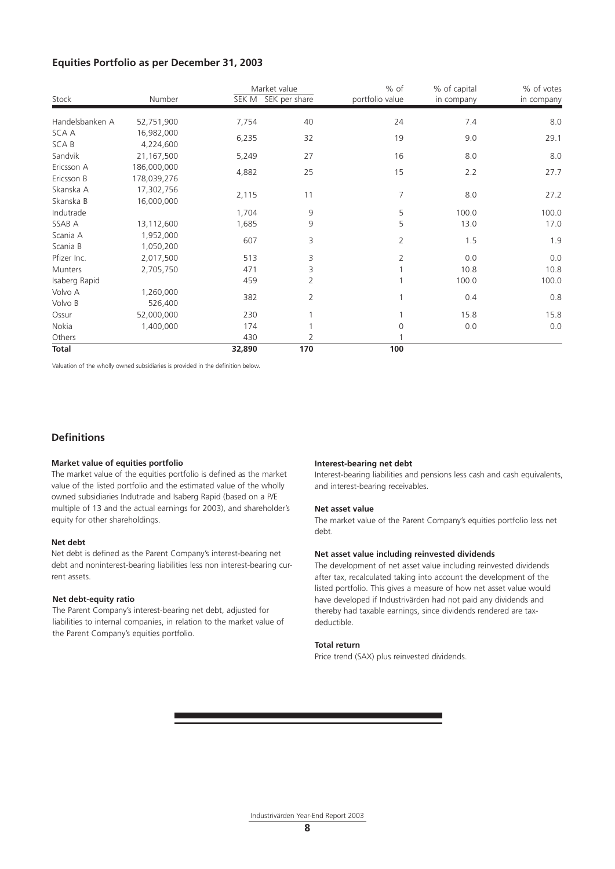# **Equities Portfolio as per December 31, 2003**

|                 |             | Market value |               | % of            | % of capital | % of votes |
|-----------------|-------------|--------------|---------------|-----------------|--------------|------------|
| Stock           | Number      | SEK M        | SEK per share | portfolio value | in company   | in company |
| Handelsbanken A | 52,751,900  | 7,754        | 40            | 24              | 7.4          | 8.0        |
| <b>SCA A</b>    | 16,982,000  | 6,235        | 32            | 19              | 9.0          | 29.1       |
| SCA B           | 4,224,600   |              |               |                 |              |            |
| Sandvik         | 21,167,500  | 5,249        | 27            | 16              | 8.0          | 8.0        |
| Ericsson A      | 186,000,000 | 4,882        | 25            | 15              | 2.2          | 27.7       |
| Ericsson B      | 178,039,276 |              |               |                 |              |            |
| Skanska A       | 17,302,756  |              | 11            | 7               |              |            |
| Skanska B       | 16,000,000  | 2,115        |               |                 | 8.0          | 27.2       |
| Indutrade       |             | 1,704        | 9             | 5               | 100.0        | 100.0      |
| SSAB A          | 13,112,600  | 1,685        | 9             | 5               | 13.0         | 17.0       |
| Scania A        | 1,952,000   | 607          |               | 2               | 1.5          | 1.9        |
| Scania B        | 1,050,200   |              | 3             |                 |              |            |
| Pfizer Inc.     | 2,017,500   | 513          | 3             | 2               | 0.0          | 0.0        |
| Munters         | 2,705,750   | 471          | 3             |                 | 10.8         | 10.8       |
| Isaberg Rapid   |             | 459          | 2             |                 | 100.0        | 100.0      |
| Volvo A         | 1,260,000   |              |               |                 |              |            |
| Volvo B         | 526,400     | 382          | 2             |                 | 0.4          | 0.8        |
| Ossur           | 52,000,000  | 230          |               |                 | 15.8         | 15.8       |
| Nokia           | 1,400,000   | 174          |               | 0               | 0.0          | 0.0        |
| Others          |             | 430          | 2             |                 |              |            |
| <b>Total</b>    |             | 32,890       | 170           | 100             |              |            |

Valuation of the wholly owned subsidiaries is provided in the definition below.

## **Definitions**

#### **Market value of equities portfolio**

The market value of the equities portfolio is defined as the market value of the listed portfolio and the estimated value of the wholly owned subsidiaries Indutrade and Isaberg Rapid (based on a P/E multiple of 13 and the actual earnings for 2003), and shareholder's equity for other shareholdings.

### **Net debt**

Net debt is defined as the Parent Company's interest-bearing net debt and noninterest-bearing liabilities less non interest-bearing current assets.

#### **Net debt-equity ratio**

The Parent Company's interest-bearing net debt, adjusted for liabilities to internal companies, in relation to the market value of the Parent Company's equities portfolio.

#### **Interest-bearing net debt**

Interest-bearing liabilities and pensions less cash and cash equivalents, and interest-bearing receivables.

#### **Net asset value**

The market value of the Parent Company's equities portfolio less net debt.

### **Net asset value including reinvested dividends**

The development of net asset value including reinvested dividends after tax, recalculated taking into account the development of the listed portfolio. This gives a measure of how net asset value would have developed if Industrivärden had not paid any dividends and thereby had taxable earnings, since dividends rendered are taxdeductible.

#### **Total return**

Price trend (SAX) plus reinvested dividends.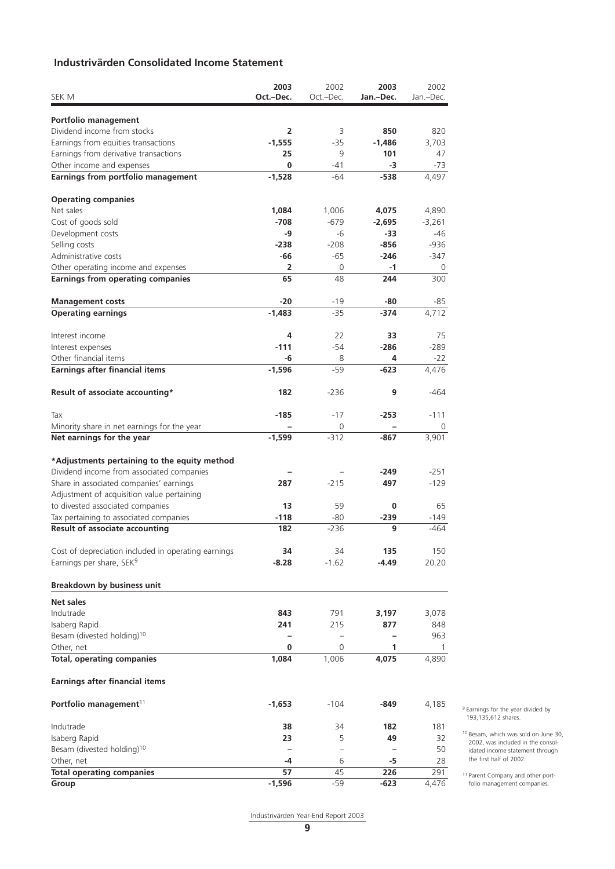# **Industrivärden Consolidated Income Statement**

|                                                     | 2003           | 2002                     | 2003      | 2002         |
|-----------------------------------------------------|----------------|--------------------------|-----------|--------------|
| SEK M                                               | Oct.-Dec.      | Oct.-Dec.                | Jan.-Dec. | Jan.-Dec.    |
| Portfolio management                                |                |                          |           |              |
| Dividend income from stocks                         | $\overline{2}$ | 3                        | 850       | 820          |
| Earnings from equities transactions                 | $-1,555$       | -35                      | $-1,486$  | 3,703        |
| Earnings from derivative transactions               | 25             | 9                        | 101       | 47           |
| Other income and expenses                           | 0              | -41                      | -3        | $-73$        |
| Earnings from portfolio management                  | $-1,528$       | $-64$                    | -538      | 4,497        |
|                                                     |                |                          |           |              |
| <b>Operating companies</b><br>Net sales             |                |                          |           |              |
|                                                     | 1,084          | 1,006                    | 4,075     | 4,890        |
| Cost of goods sold                                  | $-708$         | $-679$                   | $-2,695$  | $-3.261$     |
| Development costs                                   | -9             | -6                       | -33       | -46          |
| Selling costs                                       | $-238$         | $-208$                   | $-856$    | $-936$       |
| Administrative costs                                | -66            | $-65$                    | $-246$    | $-347$       |
| Other operating income and expenses                 | 2<br>65        | $\overline{0}$<br>48     | -1<br>244 | 0<br>300     |
| <b>Earnings from operating companies</b>            |                |                          |           |              |
| <b>Management costs</b>                             | $-20$          | $-19$                    | -80       | -85          |
| <b>Operating earnings</b>                           | $-1,483$       | $-35$                    | -374      | 4,712        |
| Interest income                                     | 4              | 22                       | 33        | 75           |
| Interest expenses                                   | $-111$         | $-54$                    | $-286$    | $-289$       |
| Other financial items                               | -6             | 8                        | 4         | $-22$        |
| <b>Earnings after financial items</b>               | $-1,596$       | -59                      | $-623$    | 4,476        |
|                                                     |                |                          |           |              |
| Result of associate accounting*                     | 182            | $-236$                   | 9         | $-464$       |
| Tax                                                 | -185           | $-17$                    | $-253$    | $-111$       |
| Minority share in net earnings for the year         |                | 0                        |           | 0            |
| Net earnings for the year                           | $-1,599$       | $-312$                   | $-867$    | 3,901        |
| *Adjustments pertaining to the equity method        |                |                          |           |              |
| Dividend income from associated companies           |                |                          | $-249$    | $-251$       |
| Share in associated companies' earnings             | 287            | $-215$                   | 497       | $-129$       |
| Adjustment of acquisition value pertaining          |                |                          |           |              |
| to divested associated companies                    | 13             | 59                       | 0         | 65           |
| Tax pertaining to associated companies              | $-118$         | $-80$                    | $-239$    | -149         |
| <b>Result of associate accounting</b>               | 182            | $-236$                   | 9         | -464         |
|                                                     |                |                          |           |              |
| Cost of depreciation included in operating earnings | 34             | 34                       | 135       | 150          |
| Earnings per share, SEK <sup>9</sup>                | $-8.28$        | $-1.62$                  | -4.49     | 20.20        |
| <b>Breakdown by business unit</b>                   |                |                          |           |              |
| <b>Net sales</b>                                    |                |                          |           |              |
| Indutrade                                           | 843            | 791                      | 3,197     | 3,078        |
| Isaberg Rapid                                       | 241            | 215                      | 877       | 848          |
| Besam (divested holding) <sup>10</sup>              |                | $\overline{\phantom{0}}$ |           | 963          |
| Other, net                                          | 0              | 0                        | 1         | $\mathbf{1}$ |
| <b>Total, operating companies</b>                   | 1,084          | 1,006                    | 4,075     | 4,890        |
| <b>Earnings after financial items</b>               |                |                          |           |              |
| Portfolio management <sup>11</sup>                  | $-1,653$       | $-104$                   | -849      | 4,185        |
|                                                     |                |                          |           |              |
| Indutrade                                           | 38             | 34                       | 182       | 181          |
| Isaberg Rapid                                       | 23             | 5                        | 49        | 32           |
| Besam (divested holding) <sup>10</sup>              |                | $\overline{\phantom{0}}$ |           | 50           |
| Other, net                                          | -4             | 6                        | -5        | 28           |
| <b>Total operating companies</b>                    | 57             | 45                       | 226       | 291          |
| Group                                               | $-1,596$       | -59                      | $-623$    | 4,476        |

9 Earnings for the year divided by 193,135,612 shares.

10 Besam, which was sold on June 30, 2002, was included in the consolidated income statement through the first half of 2002.

11 Parent Company and other portfolio management companies.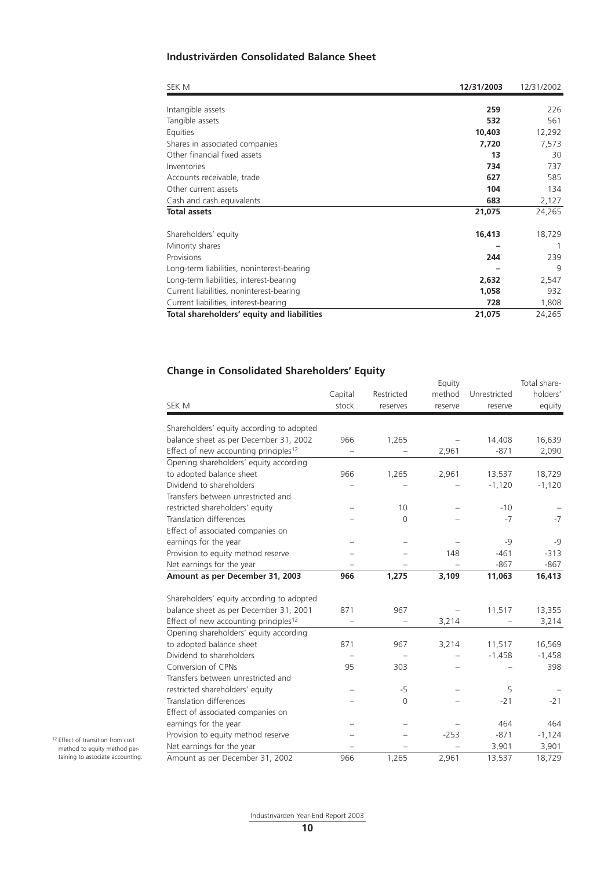# **Industrivärden Consolidated Balance Sheet**

| SEK M                                      | 12/31/2003 | 12/31/2002 |
|--------------------------------------------|------------|------------|
|                                            |            |            |
| Intangible assets                          | 259        | 226        |
| Tangible assets                            | 532        | 561        |
| Equities                                   | 10,403     | 12,292     |
| Shares in associated companies             | 7,720      | 7,573      |
| Other financial fixed assets               | 13         | 30         |
| Inventories                                | 734        | 737        |
| Accounts receivable, trade                 | 627        | 585        |
| Other current assets                       | 104        | 134        |
| Cash and cash equivalents                  | 683        | 2,127      |
| <b>Total assets</b>                        | 21,075     | 24,265     |
| Shareholders' equity                       | 16,413     | 18,729     |
| Minority shares                            |            | 1          |
| Provisions                                 | 244        | 239        |
| Long-term liabilities, noninterest-bearing |            | 9          |
| Long-term liabilities, interest-bearing    | 2,632      | 2,547      |
| Current liabilities, noninterest-bearing   | 1,058      | 932        |
| Current liabilities, interest-bearing      | 728        | 1,808      |
| Total shareholders' equity and liabilities | 21,075     | 24,265     |

# **Change in Consolidated Shareholders' Equity**

|                                                   | Capital | Restricted     | Equity<br>method | Unrestricted | Total share-<br>holders' |
|---------------------------------------------------|---------|----------------|------------------|--------------|--------------------------|
| SEK M                                             | stock   | reserves       | reserve          | reserve      | equity                   |
| Shareholders' equity according to adopted         |         |                |                  |              |                          |
| balance sheet as per December 31, 2002            | 966     | 1,265          |                  | 14,408       | 16,639                   |
| Effect of new accounting principles <sup>12</sup> |         |                | 2,961            | $-871$       | 2,090                    |
| Opening shareholders' equity according            |         |                |                  |              |                          |
| to adopted balance sheet                          | 966     | 1,265          | 2,961            | 13,537       | 18,729                   |
| Dividend to shareholders                          |         |                |                  | $-1,120$     | $-1,120$                 |
| Transfers between unrestricted and                |         |                |                  |              |                          |
| restricted shareholders' equity                   |         | 10             |                  | $-10$        |                          |
| <b>Translation differences</b>                    |         | $\overline{0}$ |                  | $-7$         | $-7$                     |
| Effect of associated companies on                 |         |                |                  |              |                          |
| earnings for the year                             |         |                |                  | $-9$         | -9                       |
| Provision to equity method reserve                |         |                | 148              | $-461$       | $-313$                   |
| Net earnings for the year                         |         |                |                  | $-867$       | $-867$                   |
| Amount as per December 31, 2003                   | 966     | 1,275          | 3,109            | 11,063       | 16,413                   |
| Shareholders' equity according to adopted         |         |                |                  |              |                          |
| balance sheet as per December 31, 2001            | 871     | 967            |                  | 11,517       | 13,355                   |
| Effect of new accounting principles <sup>12</sup> |         |                | 3,214            |              | 3,214                    |
| Opening shareholders' equity according            |         |                |                  |              |                          |
| to adopted balance sheet                          | 871     | 967            | 3,214            | 11,517       | 16,569                   |
| Dividend to shareholders                          |         |                |                  | $-1,458$     | $-1,458$                 |
| Conversion of CPNs                                | 95      | 303            |                  |              | 398                      |
| Transfers between unrestricted and                |         |                |                  |              |                          |
| restricted shareholders' equity                   |         | $-5$           |                  | 5            |                          |
| Translation differences                           |         | 0              |                  | $-21$        | $-21$                    |
| Effect of associated companies on                 |         |                |                  |              |                          |
| earnings for the year                             |         |                |                  | 464          | 464                      |
| Provision to equity method reserve                |         |                | $-253$           | $-871$       | $-1,124$                 |
| Net earnings for the year                         |         |                |                  | 3,901        | 3,901                    |
| Amount as per December 31, 2002                   | 966     | 1,265          | 2,961            | 13,537       | 18,729                   |

Industrivärden Year-End Report 2003

12 Effect of transition from cost method to equity method pertaining to associate accounting.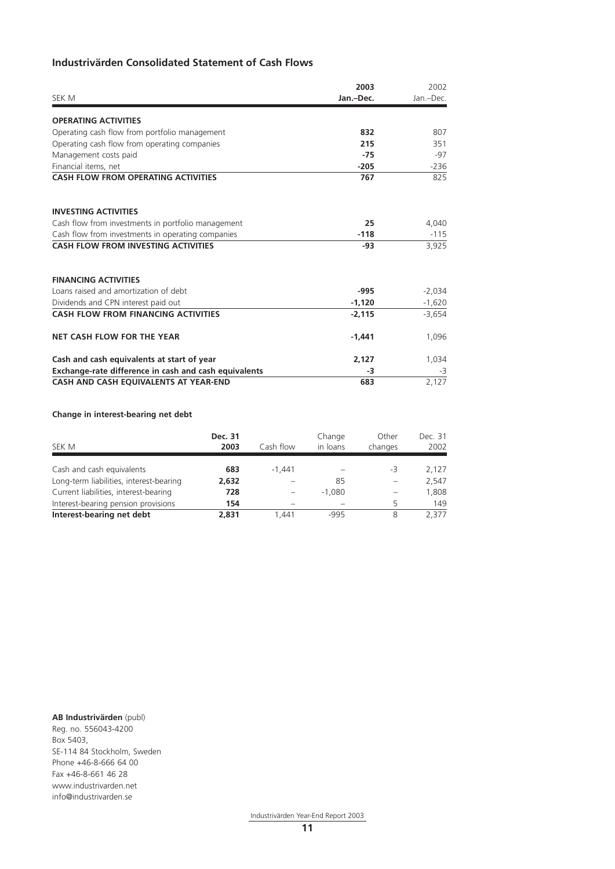# **Industrivärden Consolidated Statement of Cash Flows**

|                                                       | 2003      | 2002      |  |
|-------------------------------------------------------|-----------|-----------|--|
| SEK M                                                 | Jan.-Dec. | Jan.-Dec. |  |
| <b>OPERATING ACTIVITIES</b>                           |           |           |  |
| Operating cash flow from portfolio management         | 832       | 807       |  |
| Operating cash flow from operating companies          | 215       | 351       |  |
| Management costs paid                                 | $-75$     | -97       |  |
| Financial items, net                                  | $-205$    | $-236$    |  |
| <b>CASH FLOW FROM OPERATING ACTIVITIES</b>            | 767       | 825       |  |
| <b>INVESTING ACTIVITIES</b>                           |           |           |  |
| Cash flow from investments in portfolio management    | 25        | 4,040     |  |
| Cash flow from investments in operating companies     | $-118$    | $-115$    |  |
| <b>CASH FLOW FROM INVESTING ACTIVITIES</b>            | $-93$     | 3,925     |  |
| <b>FINANCING ACTIVITIES</b>                           |           |           |  |
| Loans raised and amortization of debt                 | $-995$    | $-2,034$  |  |
| Dividends and CPN interest paid out                   | $-1.120$  | $-1,620$  |  |
| <b>CASH FLOW FROM FINANCING ACTIVITIES</b>            | $-2,115$  | $-3,654$  |  |
| <b>NET CASH FLOW FOR THE YEAR</b>                     | $-1,441$  | 1,096     |  |
| Cash and cash equivalents at start of year            | 2,127     | 1,034     |  |
| Exchange-rate difference in cash and cash equivalents | -3        | -3        |  |
| CASH AND CASH EQUIVALENTS AT YEAR-END                 | 683       | 2,127     |  |

## **Change in interest-bearing net debt**

| SEK M                                   | Dec. 31<br>2003 | Cash flow | Change<br>in loans | Other<br>changes | Dec. 31<br>2002 |
|-----------------------------------------|-----------------|-----------|--------------------|------------------|-----------------|
| Cash and cash equivalents               | 683             | $-1.441$  |                    | -3               | 2.127           |
| Long-term liabilities, interest-bearing | 2,632           |           | 85                 |                  | 2,547           |
| Current liabilities, interest-bearing   | 728             |           | $-1.080$           |                  | 1.808           |
| Interest-bearing pension provisions     | 154             |           |                    | 5                | 149             |
| Interest-bearing net debt               | 2,831           | 1.441     | $-995$             | 8                | 2.377           |

**AB Industrivärden** (publ) Reg. no. 556043-4200 Box 5403, SE-114 84 Stockholm, Sweden Phone +46-8-666 64 00 Fax +46-8-661 46 28 www.industrivarden.net info@industrivarden.se